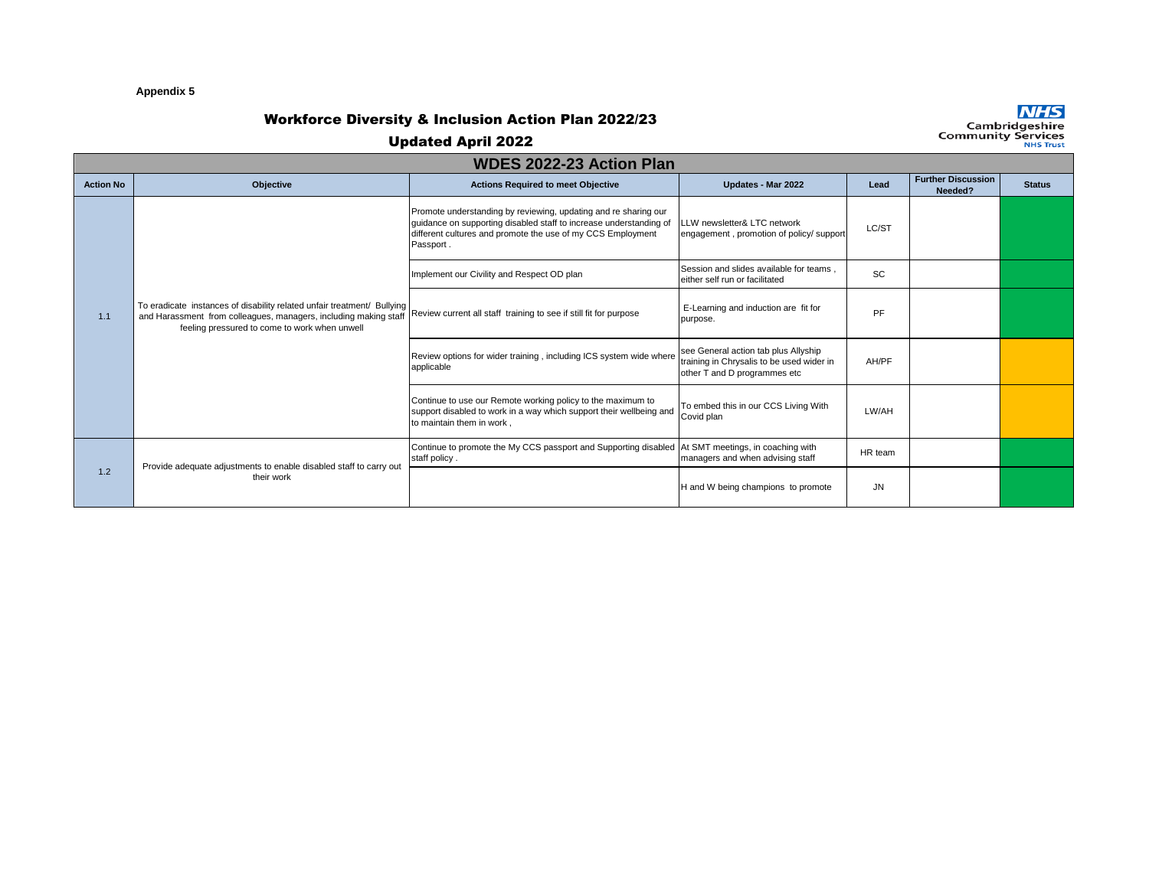### **Appendix 5**

# Workforce Diversity & Inclusion Action Plan 2022/23

**NHS**<br>Cambridgeshire<br>Community Services

| <b>WDES 2022-23 Action Plan</b> |                                                                                                                                                                                              |                                                                                                                                                                                                                   |                                                                                                                   |           |                                      |               |  |  |  |
|---------------------------------|----------------------------------------------------------------------------------------------------------------------------------------------------------------------------------------------|-------------------------------------------------------------------------------------------------------------------------------------------------------------------------------------------------------------------|-------------------------------------------------------------------------------------------------------------------|-----------|--------------------------------------|---------------|--|--|--|
| <b>Action No</b>                | Objective                                                                                                                                                                                    | <b>Actions Required to meet Objective</b>                                                                                                                                                                         | Updates - Mar 2022                                                                                                | Lead      | <b>Further Discussion</b><br>Needed? | <b>Status</b> |  |  |  |
| 1.1                             | To eradicate instances of disability related unfair treatment/ Bullying<br>and Harassment from colleagues, managers, including making staff<br>feeling pressured to come to work when unwell | Promote understanding by reviewing, updating and re sharing our<br>guidance on supporting disabled staff to increase understanding of<br>different cultures and promote the use of my CCS Employment<br>Passport. | LLW newsletter& LTC network<br>engagement, promotion of policy/ support                                           | LC/ST     |                                      |               |  |  |  |
|                                 |                                                                                                                                                                                              | Implement our Civility and Respect OD plan                                                                                                                                                                        | Session and slides available for teams.<br>either self run or facilitated                                         | <b>SC</b> |                                      |               |  |  |  |
|                                 |                                                                                                                                                                                              | Review current all staff training to see if still fit for purpose                                                                                                                                                 | E-Learning and induction are fit for<br>purpose.                                                                  | PF        |                                      |               |  |  |  |
|                                 |                                                                                                                                                                                              | Review options for wider training, including ICS system wide where<br>applicable                                                                                                                                  | see General action tab plus Allyship<br>training in Chrysalis to be used wider in<br>other T and D programmes etc | AH/PF     |                                      |               |  |  |  |
|                                 |                                                                                                                                                                                              | Continue to use our Remote working policy to the maximum to<br>support disabled to work in a way which support their wellbeing and<br>to maintain them in work.                                                   | To embed this in our CCS Living With<br>Covid plan                                                                | LW/AH     |                                      |               |  |  |  |
| 1.2                             | Provide adequate adjustments to enable disabled staff to carry out<br>their work                                                                                                             | Continue to promote the My CCS passport and Supporting disabled<br>staff policy.                                                                                                                                  | At SMT meetings, in coaching with<br>managers and when advising staff                                             | HR team   |                                      |               |  |  |  |
|                                 |                                                                                                                                                                                              |                                                                                                                                                                                                                   | H and W being champions to promote                                                                                | JN        |                                      |               |  |  |  |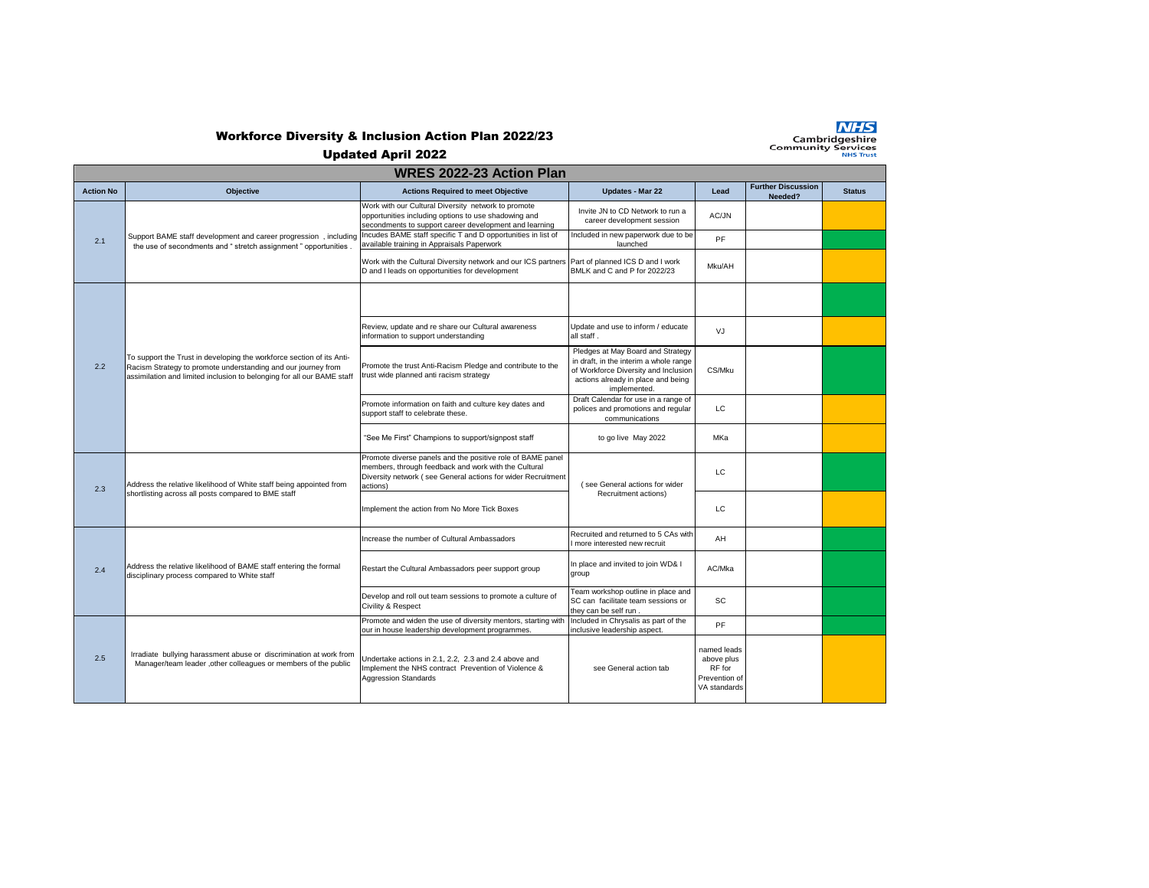

## Workforce Diversity & Inclusion Action Plan 2022/23

Updated April 2022

**NHS**<br>Cambridgeshire<br>Community Services

| <b>WRES 2022-23 Action Plan</b> |                                                                                                                                                                                                                  |                                                                                                                                                                                                |                                                                                                                                                                           |                                                                      |                                      |               |  |  |
|---------------------------------|------------------------------------------------------------------------------------------------------------------------------------------------------------------------------------------------------------------|------------------------------------------------------------------------------------------------------------------------------------------------------------------------------------------------|---------------------------------------------------------------------------------------------------------------------------------------------------------------------------|----------------------------------------------------------------------|--------------------------------------|---------------|--|--|
| <b>Action No</b>                | <b>Objective</b>                                                                                                                                                                                                 | <b>Actions Required to meet Objective</b>                                                                                                                                                      | <b>Updates - Mar 22</b>                                                                                                                                                   | Lead                                                                 | <b>Further Discussion</b><br>Needed? | <b>Status</b> |  |  |
| 2.1                             | Support BAME staff development and career progression, including<br>the use of secondments and " stretch assignment " opportunities .                                                                            | Work with our Cultural Diversity network to promote<br>opportunities including options to use shadowing and<br>secondments to support career development and learning                          | Invite JN to CD Network to run a<br>career development session                                                                                                            | AC/JN                                                                |                                      |               |  |  |
|                                 |                                                                                                                                                                                                                  | Incudes BAME staff specific T and D opportunities in list of<br>available training in Appraisals Paperwork                                                                                     | Included in new paperwork due to be<br>launched                                                                                                                           | PF                                                                   |                                      |               |  |  |
|                                 |                                                                                                                                                                                                                  | Work with the Cultural Diversity network and our ICS partners Part of planned ICS D and I work<br>D and I leads on opportunities for development                                               | BMLK and C and P for 2022/23                                                                                                                                              | Mku/AH                                                               |                                      |               |  |  |
| 2.2                             | To support the Trust in developing the workforce section of its Anti-<br>Racism Strategy to promote understanding and our journey from<br>assimilation and limited inclusion to belonging for all our BAME staff |                                                                                                                                                                                                |                                                                                                                                                                           |                                                                      |                                      |               |  |  |
|                                 |                                                                                                                                                                                                                  | Review, update and re share our Cultural awareness<br>information to support understanding                                                                                                     | Update and use to inform / educate<br>all staff.                                                                                                                          | V.I                                                                  |                                      |               |  |  |
|                                 |                                                                                                                                                                                                                  | Promote the trust Anti-Racism Pledge and contribute to the<br>trust wide planned anti racism strategy                                                                                          | Pledges at May Board and Strategy<br>in draft, in the interim a whole range<br>of Workforce Diversity and Inclusion<br>actions already in place and being<br>implemented. | CS/Mku                                                               |                                      |               |  |  |
|                                 |                                                                                                                                                                                                                  | Promote information on faith and culture key dates and<br>support staff to celebrate these.                                                                                                    | Draft Calendar for use in a range of<br>polices and promotions and regular<br>communications                                                                              | LC.                                                                  |                                      |               |  |  |
|                                 |                                                                                                                                                                                                                  | "See Me First" Champions to support/signpost staff                                                                                                                                             | to go live May 2022                                                                                                                                                       | MKa                                                                  |                                      |               |  |  |
| 2.3                             | Address the relative likelihood of White staff being appointed from<br>shortlisting across all posts compared to BME staff                                                                                       | Promote diverse panels and the positive role of BAME panel<br>members, through feedback and work with the Cultural<br>Diversity network (see General actions for wider Recruitment<br>actions) | (see General actions for wider<br>Recruitment actions)                                                                                                                    | LC                                                                   |                                      |               |  |  |
|                                 |                                                                                                                                                                                                                  | Implement the action from No More Tick Boxes                                                                                                                                                   |                                                                                                                                                                           | LC.                                                                  |                                      |               |  |  |
| 2.4                             | Address the relative likelihood of BAME staff entering the formal<br>disciplinary process compared to White staff                                                                                                | Increase the number of Cultural Ambassadors                                                                                                                                                    | Recruited and returned to 5 CAs with<br>I more interested new recruit                                                                                                     | AH                                                                   |                                      |               |  |  |
|                                 |                                                                                                                                                                                                                  | Restart the Cultural Ambassadors peer support group                                                                                                                                            | In place and invited to join WD& I<br>group                                                                                                                               | AC/Mka                                                               |                                      |               |  |  |
|                                 |                                                                                                                                                                                                                  | Develop and roll out team sessions to promote a culture of<br>Civility & Respect                                                                                                               | Team workshop outline in place and<br>SC can facilitate team sessions or<br>they can be self run.                                                                         | <b>SC</b>                                                            |                                      |               |  |  |
| 2.5                             | Irradiate bullying harassment abuse or discrimination at work from<br>Manager/team leader , other colleagues or members of the public                                                                            | Promote and widen the use of diversity mentors, starting with<br>our in house leadership development programmes.                                                                               | Included in Chrysalis as part of the<br>inclusive leadership aspect.                                                                                                      | PF                                                                   |                                      |               |  |  |
|                                 |                                                                                                                                                                                                                  | Undertake actions in 2.1, 2.2, 2.3 and 2.4 above and<br>Implement the NHS contract Prevention of Violence &<br><b>Aggression Standards</b>                                                     | see General action tab                                                                                                                                                    | named leads<br>above plus<br>RF for<br>Prevention of<br>VA standards |                                      |               |  |  |